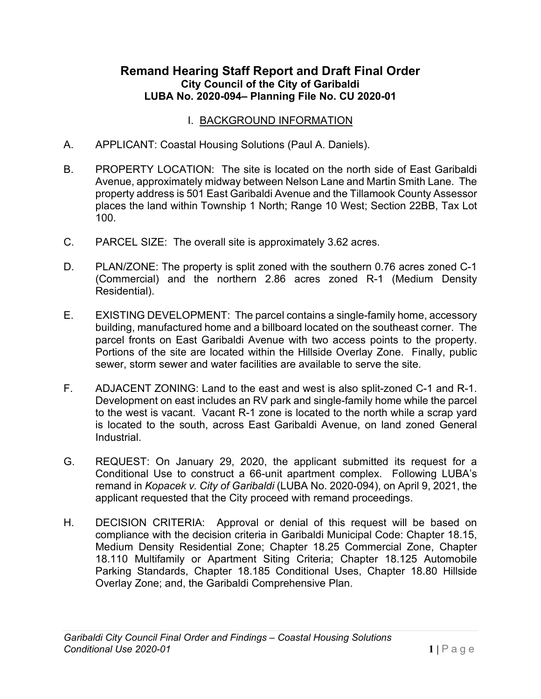### **Remand Hearing Staff Report and Draft Final Order City Council of the City of Garibaldi LUBA No. 2020-094– Planning File No. CU 2020-01**

#### I. BACKGROUND INFORMATION

- A. APPLICANT: Coastal Housing Solutions (Paul A. Daniels).
- B. PROPERTY LOCATION: The site is located on the north side of East Garibaldi Avenue, approximately midway between Nelson Lane and Martin Smith Lane. The property address is 501 East Garibaldi Avenue and the Tillamook County Assessor places the land within Township 1 North; Range 10 West; Section 22BB, Tax Lot 100.
- C. PARCEL SIZE: The overall site is approximately 3.62 acres.
- D. PLAN/ZONE: The property is split zoned with the southern 0.76 acres zoned C-1 (Commercial) and the northern 2.86 acres zoned R-1 (Medium Density Residential).
- E. EXISTING DEVELOPMENT: The parcel contains a single-family home, accessory building, manufactured home and a billboard located on the southeast corner. The parcel fronts on East Garibaldi Avenue with two access points to the property. Portions of the site are located within the Hillside Overlay Zone. Finally, public sewer, storm sewer and water facilities are available to serve the site.
- F. ADJACENT ZONING: Land to the east and west is also split-zoned C-1 and R-1. Development on east includes an RV park and single-family home while the parcel to the west is vacant. Vacant R-1 zone is located to the north while a scrap yard is located to the south, across East Garibaldi Avenue, on land zoned General Industrial.
- G. REQUEST: On January 29, 2020, the applicant submitted its request for a Conditional Use to construct a 66-unit apartment complex. Following LUBA's remand in *Kopacek v. City of Garibaldi* (LUBA No. 2020-094), on April 9, 2021, the applicant requested that the City proceed with remand proceedings.
- H. DECISION CRITERIA: Approval or denial of this request will be based on compliance with the decision criteria in Garibaldi Municipal Code: Chapter 18.15, Medium Density Residential Zone; Chapter 18.25 Commercial Zone, Chapter 18.110 Multifamily or Apartment Siting Criteria; Chapter 18.125 Automobile Parking Standards, Chapter 18.185 Conditional Uses, Chapter 18.80 Hillside Overlay Zone; and, the Garibaldi Comprehensive Plan.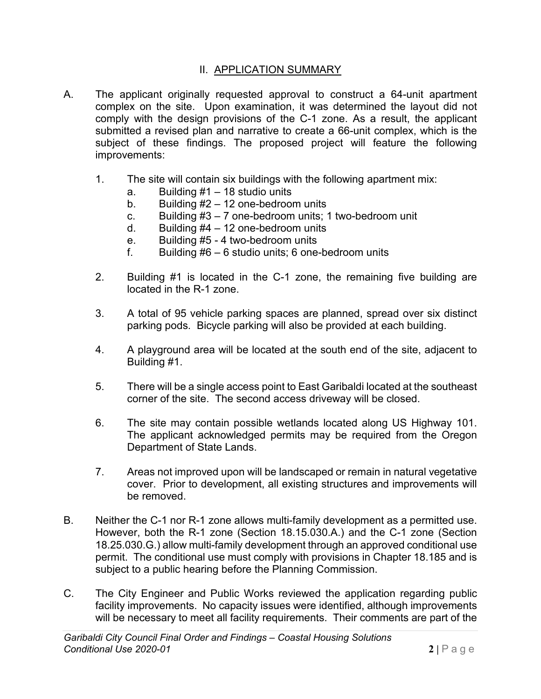#### II. APPLICATION SUMMARY

- A. The applicant originally requested approval to construct a 64-unit apartment complex on the site. Upon examination, it was determined the layout did not comply with the design provisions of the C-1 zone. As a result, the applicant submitted a revised plan and narrative to create a 66-unit complex, which is the subject of these findings. The proposed project will feature the following improvements:
	- 1. The site will contain six buildings with the following apartment mix:
		- a. Building  $#1 18$  studio units
		- b. Building  $#2 12$  one-bedroom units
		- c. Building  $#3 7$  one-bedroom units; 1 two-bedroom unit
		- d. Building  $#4 12$  one-bedroom units
		- e. Building #5 4 two-bedroom units
		- f. Building  $#6 6$  studio units; 6 one-bedroom units
	- 2. Building #1 is located in the C-1 zone, the remaining five building are located in the R-1 zone.
	- 3. A total of 95 vehicle parking spaces are planned, spread over six distinct parking pods. Bicycle parking will also be provided at each building.
	- 4. A playground area will be located at the south end of the site, adjacent to Building #1.
	- 5. There will be a single access point to East Garibaldi located at the southeast corner of the site. The second access driveway will be closed.
	- 6. The site may contain possible wetlands located along US Highway 101. The applicant acknowledged permits may be required from the Oregon Department of State Lands.
	- 7. Areas not improved upon will be landscaped or remain in natural vegetative cover. Prior to development, all existing structures and improvements will be removed.
- B. Neither the C-1 nor R-1 zone allows multi-family development as a permitted use. However, both the R-1 zone (Section 18.15.030.A.) and the C-1 zone (Section 18.25.030.G.) allow multi-family development through an approved conditional use permit. The conditional use must comply with provisions in Chapter 18.185 and is subject to a public hearing before the Planning Commission.
- C. The City Engineer and Public Works reviewed the application regarding public facility improvements. No capacity issues were identified, although improvements will be necessary to meet all facility requirements. Their comments are part of the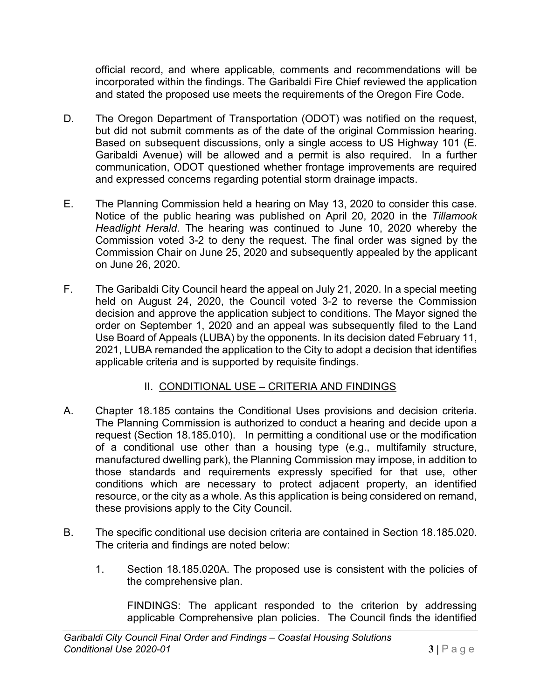official record, and where applicable, comments and recommendations will be incorporated within the findings. The Garibaldi Fire Chief reviewed the application and stated the proposed use meets the requirements of the Oregon Fire Code.

- D. The Oregon Department of Transportation (ODOT) was notified on the request, but did not submit comments as of the date of the original Commission hearing. Based on subsequent discussions, only a single access to US Highway 101 (E. Garibaldi Avenue) will be allowed and a permit is also required. In a further communication, ODOT questioned whether frontage improvements are required and expressed concerns regarding potential storm drainage impacts.
- E. The Planning Commission held a hearing on May 13, 2020 to consider this case. Notice of the public hearing was published on April 20, 2020 in the *Tillamook Headlight Herald*. The hearing was continued to June 10, 2020 whereby the Commission voted 3-2 to deny the request. The final order was signed by the Commission Chair on June 25, 2020 and subsequently appealed by the applicant on June 26, 2020.
- F. The Garibaldi City Council heard the appeal on July 21, 2020. In a special meeting held on August 24, 2020, the Council voted 3-2 to reverse the Commission decision and approve the application subject to conditions. The Mayor signed the order on September 1, 2020 and an appeal was subsequently filed to the Land Use Board of Appeals (LUBA) by the opponents. In its decision dated February 11, 2021, LUBA remanded the application to the City to adopt a decision that identifies applicable criteria and is supported by requisite findings.

## II. CONDITIONAL USE – CRITERIA AND FINDINGS

- A. Chapter 18.185 contains the Conditional Uses provisions and decision criteria. The Planning Commission is authorized to conduct a hearing and decide upon a request (Section 18.185.010). In permitting a conditional use or the modification of a conditional use other than a housing type (e.g., multifamily structure, manufactured dwelling park), the Planning Commission may impose, in addition to those standards and requirements expressly specified for that use, other conditions which are necessary to protect adjacent property, an identified resource, or the city as a whole. As this application is being considered on remand, these provisions apply to the City Council.
- B. The specific conditional use decision criteria are contained in Section 18.185.020. The criteria and findings are noted below:
	- 1. Section 18.185.020A. The proposed use is consistent with the policies of the comprehensive plan.

FINDINGS: The applicant responded to the criterion by addressing applicable Comprehensive plan policies. The Council finds the identified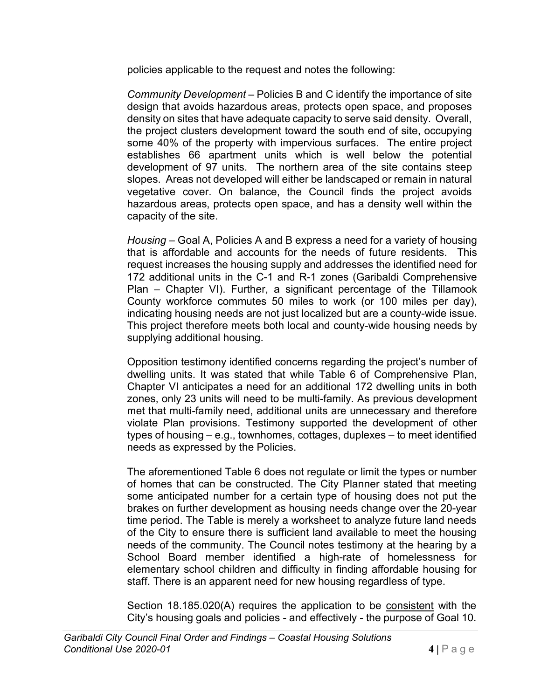policies applicable to the request and notes the following:

*Community Development* – Policies B and C identify the importance of site design that avoids hazardous areas, protects open space, and proposes density on sites that have adequate capacity to serve said density. Overall, the project clusters development toward the south end of site, occupying some 40% of the property with impervious surfaces. The entire project establishes 66 apartment units which is well below the potential development of 97 units. The northern area of the site contains steep slopes. Areas not developed will either be landscaped or remain in natural vegetative cover. On balance, the Council finds the project avoids hazardous areas, protects open space, and has a density well within the capacity of the site.

*Housing* – Goal A, Policies A and B express a need for a variety of housing that is affordable and accounts for the needs of future residents. This request increases the housing supply and addresses the identified need for 172 additional units in the C-1 and R-1 zones (Garibaldi Comprehensive Plan – Chapter VI). Further, a significant percentage of the Tillamook County workforce commutes 50 miles to work (or 100 miles per day), indicating housing needs are not just localized but are a county-wide issue. This project therefore meets both local and county-wide housing needs by supplying additional housing.

Opposition testimony identified concerns regarding the project's number of dwelling units. It was stated that while Table 6 of Comprehensive Plan, Chapter VI anticipates a need for an additional 172 dwelling units in both zones, only 23 units will need to be multi-family. As previous development met that multi-family need, additional units are unnecessary and therefore violate Plan provisions. Testimony supported the development of other types of housing – e.g., townhomes, cottages, duplexes – to meet identified needs as expressed by the Policies.

The aforementioned Table 6 does not regulate or limit the types or number of homes that can be constructed. The City Planner stated that meeting some anticipated number for a certain type of housing does not put the brakes on further development as housing needs change over the 20-year time period. The Table is merely a worksheet to analyze future land needs of the City to ensure there is sufficient land available to meet the housing needs of the community. The Council notes testimony at the hearing by a School Board member identified a high-rate of homelessness for elementary school children and difficulty in finding affordable housing for staff. There is an apparent need for new housing regardless of type.

Section 18.185.020(A) requires the application to be consistent with the City's housing goals and policies - and effectively - the purpose of Goal 10.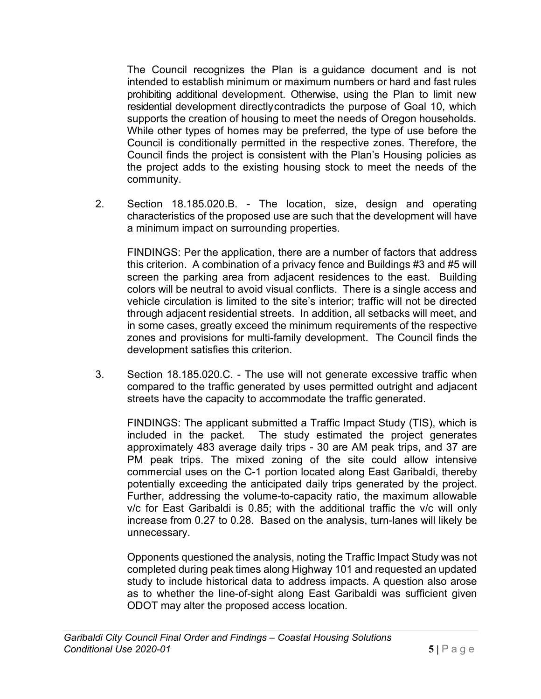The Council recognizes the Plan is a guidance document and is not intended to establish minimum or maximum numbers or hard and fast rules prohibiting additional development. Otherwise, using the Plan to limit new residential development directlycontradicts the purpose of Goal 10, which supports the creation of housing to meet the needs of Oregon households. While other types of homes may be preferred, the type of use before the Council is conditionally permitted in the respective zones. Therefore, the Council finds the project is consistent with the Plan's Housing policies as the project adds to the existing housing stock to meet the needs of the community.

2. Section 18.185.020.B. - The location, size, design and operating characteristics of the proposed use are such that the development will have a minimum impact on surrounding properties.

FINDINGS: Per the application, there are a number of factors that address this criterion. A combination of a privacy fence and Buildings #3 and #5 will screen the parking area from adjacent residences to the east. Building colors will be neutral to avoid visual conflicts. There is a single access and vehicle circulation is limited to the site's interior; traffic will not be directed through adjacent residential streets. In addition, all setbacks will meet, and in some cases, greatly exceed the minimum requirements of the respective zones and provisions for multi-family development. The Council finds the development satisfies this criterion.

3. Section 18.185.020.C. - The use will not generate excessive traffic when compared to the traffic generated by uses permitted outright and adjacent streets have the capacity to accommodate the traffic generated.

FINDINGS: The applicant submitted a Traffic Impact Study (TIS), which is included in the packet. The study estimated the project generates approximately 483 average daily trips - 30 are AM peak trips, and 37 are PM peak trips. The mixed zoning of the site could allow intensive commercial uses on the C-1 portion located along East Garibaldi, thereby potentially exceeding the anticipated daily trips generated by the project. Further, addressing the volume-to-capacity ratio, the maximum allowable v/c for East Garibaldi is 0.85; with the additional traffic the v/c will only increase from 0.27 to 0.28. Based on the analysis, turn-lanes will likely be unnecessary.

Opponents questioned the analysis, noting the Traffic Impact Study was not completed during peak times along Highway 101 and requested an updated study to include historical data to address impacts. A question also arose as to whether the line-of-sight along East Garibaldi was sufficient given ODOT may alter the proposed access location.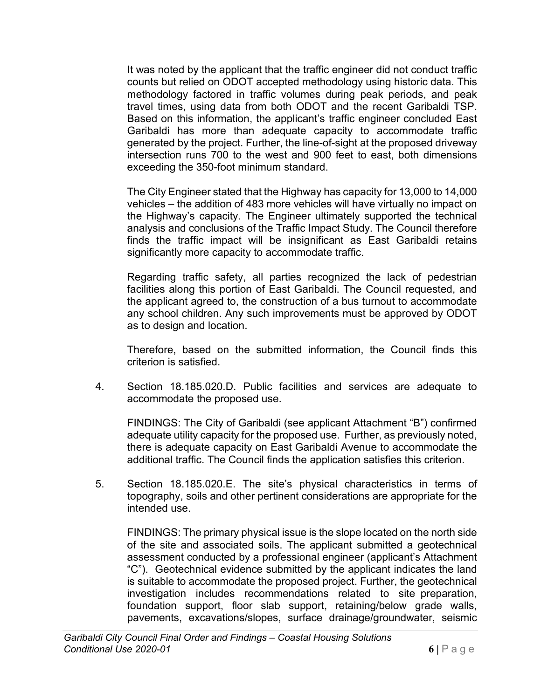It was noted by the applicant that the traffic engineer did not conduct traffic counts but relied on ODOT accepted methodology using historic data. This methodology factored in traffic volumes during peak periods, and peak travel times, using data from both ODOT and the recent Garibaldi TSP. Based on this information, the applicant's traffic engineer concluded East Garibaldi has more than adequate capacity to accommodate traffic generated by the project. Further, the line-of-sight at the proposed driveway intersection runs 700 to the west and 900 feet to east, both dimensions exceeding the 350-foot minimum standard.

The City Engineer stated that the Highway has capacity for 13,000 to 14,000 vehicles – the addition of 483 more vehicles will have virtually no impact on the Highway's capacity. The Engineer ultimately supported the technical analysis and conclusions of the Traffic Impact Study. The Council therefore finds the traffic impact will be insignificant as East Garibaldi retains significantly more capacity to accommodate traffic.

Regarding traffic safety, all parties recognized the lack of pedestrian facilities along this portion of East Garibaldi. The Council requested, and the applicant agreed to, the construction of a bus turnout to accommodate any school children. Any such improvements must be approved by ODOT as to design and location.

Therefore, based on the submitted information, the Council finds this criterion is satisfied.

4. Section 18.185.020.D. Public facilities and services are adequate to accommodate the proposed use.

FINDINGS: The City of Garibaldi (see applicant Attachment "B") confirmed adequate utility capacity for the proposed use. Further, as previously noted, there is adequate capacity on East Garibaldi Avenue to accommodate the additional traffic. The Council finds the application satisfies this criterion.

5. Section 18.185.020.E. The site's physical characteristics in terms of topography, soils and other pertinent considerations are appropriate for the intended use.

FINDINGS: The primary physical issue is the slope located on the north side of the site and associated soils. The applicant submitted a geotechnical assessment conducted by a professional engineer (applicant's Attachment "C"). Geotechnical evidence submitted by the applicant indicates the land is suitable to accommodate the proposed project. Further, the geotechnical investigation includes recommendations related to site preparation, foundation support, floor slab support, retaining/below grade walls, pavements, excavations/slopes, surface drainage/groundwater, seismic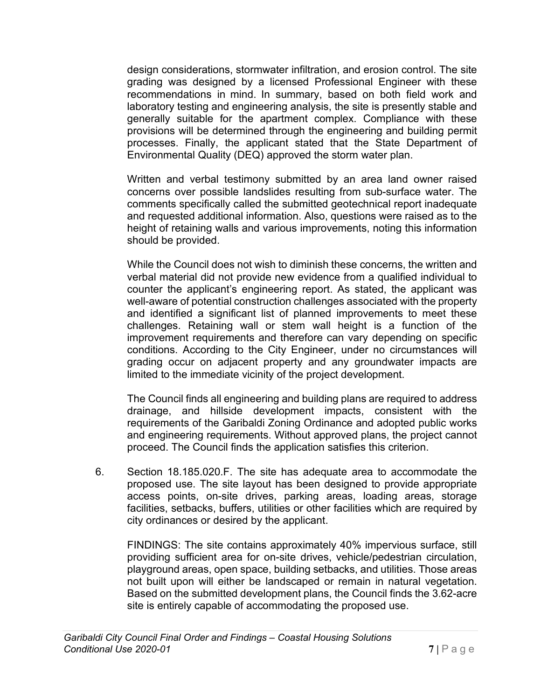design considerations, stormwater infiltration, and erosion control. The site grading was designed by a licensed Professional Engineer with these recommendations in mind. In summary, based on both field work and laboratory testing and engineering analysis, the site is presently stable and generally suitable for the apartment complex. Compliance with these provisions will be determined through the engineering and building permit processes. Finally, the applicant stated that the State Department of Environmental Quality (DEQ) approved the storm water plan.

Written and verbal testimony submitted by an area land owner raised concerns over possible landslides resulting from sub-surface water. The comments specifically called the submitted geotechnical report inadequate and requested additional information. Also, questions were raised as to the height of retaining walls and various improvements, noting this information should be provided.

While the Council does not wish to diminish these concerns, the written and verbal material did not provide new evidence from a qualified individual to counter the applicant's engineering report. As stated, the applicant was well-aware of potential construction challenges associated with the property and identified a significant list of planned improvements to meet these challenges. Retaining wall or stem wall height is a function of the improvement requirements and therefore can vary depending on specific conditions. According to the City Engineer, under no circumstances will grading occur on adjacent property and any groundwater impacts are limited to the immediate vicinity of the project development.

The Council finds all engineering and building plans are required to address drainage, and hillside development impacts, consistent with the requirements of the Garibaldi Zoning Ordinance and adopted public works and engineering requirements. Without approved plans, the project cannot proceed. The Council finds the application satisfies this criterion.

6. Section 18.185.020.F. The site has adequate area to accommodate the proposed use. The site layout has been designed to provide appropriate access points, on-site drives, parking areas, loading areas, storage facilities, setbacks, buffers, utilities or other facilities which are required by city ordinances or desired by the applicant.

FINDINGS: The site contains approximately 40% impervious surface, still providing sufficient area for on-site drives, vehicle/pedestrian circulation, playground areas, open space, building setbacks, and utilities. Those areas not built upon will either be landscaped or remain in natural vegetation. Based on the submitted development plans, the Council finds the 3.62-acre site is entirely capable of accommodating the proposed use.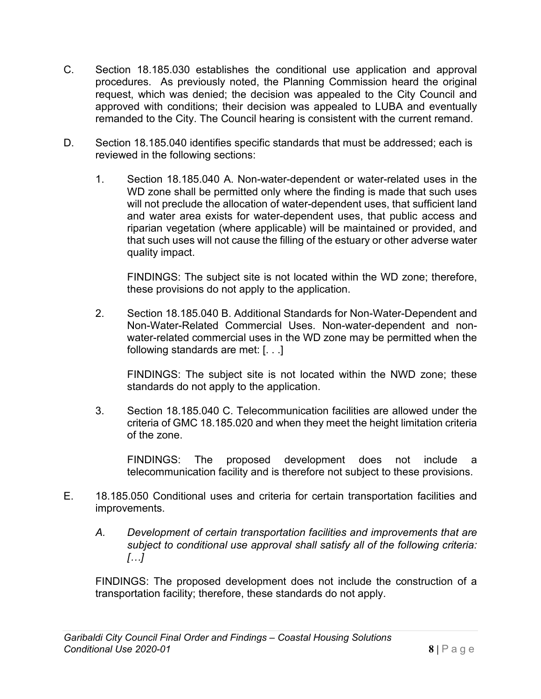- C. Section 18.185.030 establishes the conditional use application and approval procedures. As previously noted, the Planning Commission heard the original request, which was denied; the decision was appealed to the City Council and approved with conditions; their decision was appealed to LUBA and eventually remanded to the City. The Council hearing is consistent with the current remand.
- D. Section 18.185.040 identifies specific standards that must be addressed; each is reviewed in the following sections:
	- 1. Section 18.185.040 A. Non-water-dependent or water-related uses in the WD zone shall be permitted only where the finding is made that such uses will not preclude the allocation of water-dependent uses, that sufficient land and water area exists for water-dependent uses, that public access and riparian vegetation (where applicable) will be maintained or provided, and that such uses will not cause the filling of the estuary or other adverse water quality impact.

FINDINGS: The subject site is not located within the WD zone; therefore, these provisions do not apply to the application.

2. Section 18.185.040 B. Additional Standards for Non-Water-Dependent and Non-Water-Related Commercial Uses. Non-water-dependent and nonwater-related commercial uses in the WD zone may be permitted when the following standards are met: [. . .]

FINDINGS: The subject site is not located within the NWD zone; these standards do not apply to the application.

3. Section 18.185.040 C. Telecommunication facilities are allowed under the criteria of GMC 18.185.020 and when they meet the height limitation criteria of the zone.

FINDINGS: The proposed development does not include a telecommunication facility and is therefore not subject to these provisions.

- E. 18.185.050 Conditional uses and criteria for certain transportation facilities and improvements.
	- *A. Development of certain transportation facilities and improvements that are subject to conditional use approval shall satisfy all of the following criteria: […]*

FINDINGS: The proposed development does not include the construction of a transportation facility; therefore, these standards do not apply.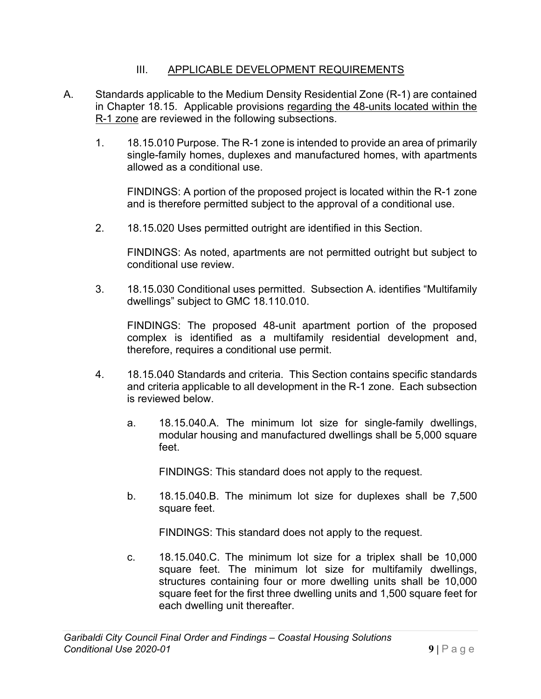#### III. APPLICABLE DEVELOPMENT REQUIREMENTS

- A. Standards applicable to the Medium Density Residential Zone (R-1) are contained in Chapter 18.15. Applicable provisions regarding the 48-units located within the R-1 zone are reviewed in the following subsections.
	- 1. 18.15.010 Purpose. The R-1 zone is intended to provide an area of primarily single-family homes, duplexes and manufactured homes, with apartments allowed as a conditional use.

FINDINGS: A portion of the proposed project is located within the R-1 zone and is therefore permitted subject to the approval of a conditional use.

2. 18.15.020 Uses permitted outright are identified in this Section.

FINDINGS: As noted, apartments are not permitted outright but subject to conditional use review.

3. 18.15.030 Conditional uses permitted. Subsection A. identifies "Multifamily dwellings" subject to GMC 18.110.010.

FINDINGS: The proposed 48-unit apartment portion of the proposed complex is identified as a multifamily residential development and, therefore, requires a conditional use permit.

- 4. 18.15.040 Standards and criteria. This Section contains specific standards and criteria applicable to all development in the R-1 zone. Each subsection is reviewed below.
	- a. 18.15.040.A. The minimum lot size for single-family dwellings, modular housing and manufactured dwellings shall be 5,000 square feet.

FINDINGS: This standard does not apply to the request.

b. 18.15.040.B. The minimum lot size for duplexes shall be 7,500 square feet.

FINDINGS: This standard does not apply to the request.

c. 18.15.040.C. The minimum lot size for a triplex shall be 10,000 square feet. The minimum lot size for multifamily dwellings, structures containing four or more dwelling units shall be 10,000 square feet for the first three dwelling units and 1,500 square feet for each dwelling unit thereafter.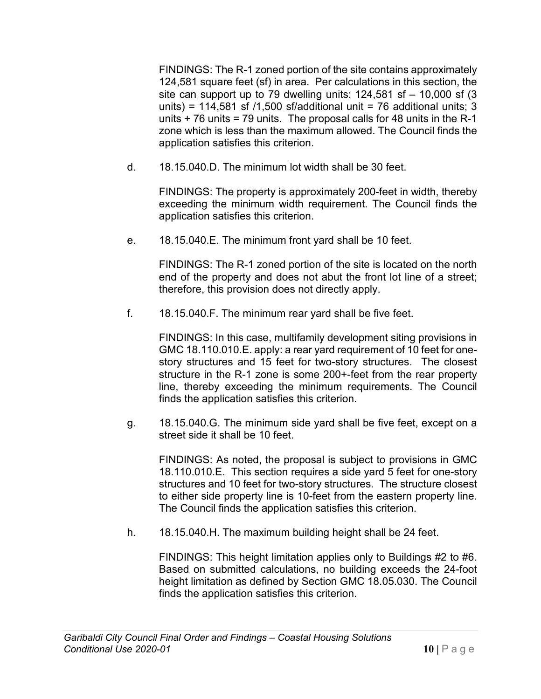FINDINGS: The R-1 zoned portion of the site contains approximately 124,581 square feet (sf) in area. Per calculations in this section, the site can support up to 79 dwelling units:  $124,581$  sf  $-10,000$  sf (3) units) = 114,581 sf  $/1,500$  sf/additional unit = 76 additional units; 3 units  $+76$  units = 79 units. The proposal calls for 48 units in the R-1 zone which is less than the maximum allowed. The Council finds the application satisfies this criterion.

d. 18.15.040.D. The minimum lot width shall be 30 feet.

FINDINGS: The property is approximately 200-feet in width, thereby exceeding the minimum width requirement. The Council finds the application satisfies this criterion.

e. 18.15.040.E. The minimum front yard shall be 10 feet.

FINDINGS: The R-1 zoned portion of the site is located on the north end of the property and does not abut the front lot line of a street; therefore, this provision does not directly apply.

f. 18.15.040.F. The minimum rear yard shall be five feet.

FINDINGS: In this case, multifamily development siting provisions in GMC 18.110.010.E. apply: a rear yard requirement of 10 feet for onestory structures and 15 feet for two-story structures. The closest structure in the R-1 zone is some 200+-feet from the rear property line, thereby exceeding the minimum requirements. The Council finds the application satisfies this criterion.

g. 18.15.040.G. The minimum side yard shall be five feet, except on a street side it shall be 10 feet.

FINDINGS: As noted, the proposal is subject to provisions in GMC 18.110.010.E. This section requires a side yard 5 feet for one-story structures and 10 feet for two-story structures. The structure closest to either side property line is 10-feet from the eastern property line. The Council finds the application satisfies this criterion.

h. 18.15.040.H. The maximum building height shall be 24 feet.

FINDINGS: This height limitation applies only to Buildings #2 to #6. Based on submitted calculations, no building exceeds the 24-foot height limitation as defined by Section GMC 18.05.030. The Council finds the application satisfies this criterion.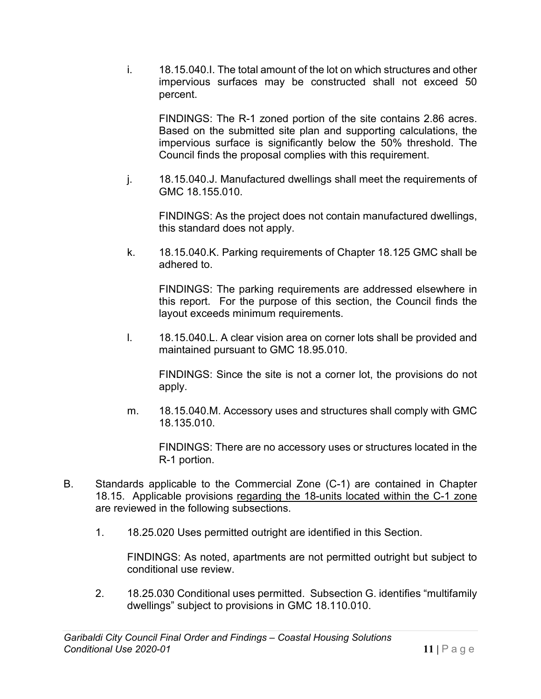i. 18.15.040.I. The total amount of the lot on which structures and other impervious surfaces may be constructed shall not exceed 50 percent.

FINDINGS: The R-1 zoned portion of the site contains 2.86 acres. Based on the submitted site plan and supporting calculations, the impervious surface is significantly below the 50% threshold. The Council finds the proposal complies with this requirement.

j. 18.15.040.J. Manufactured dwellings shall meet the requirements of GMC 18.155.010.

FINDINGS: As the project does not contain manufactured dwellings, this standard does not apply.

k. 18.15.040.K. Parking requirements of Chapter 18.125 GMC shall be adhered to.

FINDINGS: The parking requirements are addressed elsewhere in this report. For the purpose of this section, the Council finds the layout exceeds minimum requirements.

l. 18.15.040.L. A clear vision area on corner lots shall be provided and maintained pursuant to GMC 18.95.010.

FINDINGS: Since the site is not a corner lot, the provisions do not apply.

m. 18.15.040.M. Accessory uses and structures shall comply with GMC 18.135.010.

FINDINGS: There are no accessory uses or structures located in the R-1 portion.

- B. Standards applicable to the Commercial Zone (C-1) are contained in Chapter 18.15. Applicable provisions regarding the 18-units located within the C-1 zone are reviewed in the following subsections.
	- 1. 18.25.020 Uses permitted outright are identified in this Section.

FINDINGS: As noted, apartments are not permitted outright but subject to conditional use review.

2. 18.25.030 Conditional uses permitted. Subsection G. identifies "multifamily dwellings" subject to provisions in GMC 18.110.010.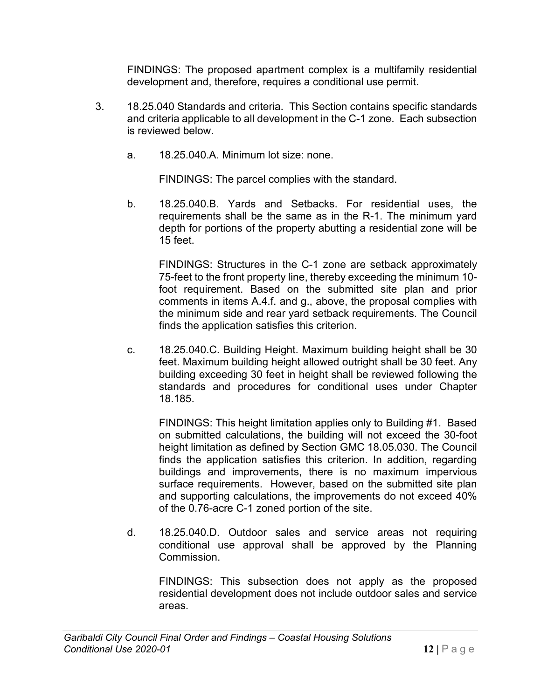FINDINGS: The proposed apartment complex is a multifamily residential development and, therefore, requires a conditional use permit.

- 3. 18.25.040 Standards and criteria. This Section contains specific standards and criteria applicable to all development in the C-1 zone. Each subsection is reviewed below.
	- a. 18.25.040.A. Minimum lot size: none.

FINDINGS: The parcel complies with the standard.

b. 18.25.040.B. Yards and Setbacks. For residential uses, the requirements shall be the same as in the R-1. The minimum yard depth for portions of the property abutting a residential zone will be 15 feet.

FINDINGS: Structures in the C-1 zone are setback approximately 75-feet to the front property line, thereby exceeding the minimum 10 foot requirement. Based on the submitted site plan and prior comments in items A.4.f. and g., above, the proposal complies with the minimum side and rear yard setback requirements. The Council finds the application satisfies this criterion.

c. 18.25.040.C. Building Height. Maximum building height shall be 30 feet. Maximum building height allowed outright shall be 30 feet. Any building exceeding 30 feet in height shall be reviewed following the standards and procedures for conditional uses under Chapter 18.185.

FINDINGS: This height limitation applies only to Building #1. Based on submitted calculations, the building will not exceed the 30-foot height limitation as defined by Section GMC 18.05.030. The Council finds the application satisfies this criterion. In addition, regarding buildings and improvements, there is no maximum impervious surface requirements. However, based on the submitted site plan and supporting calculations, the improvements do not exceed 40% of the 0.76-acre C-1 zoned portion of the site.

d. 18.25.040.D. Outdoor sales and service areas not requiring conditional use approval shall be approved by the Planning Commission.

FINDINGS: This subsection does not apply as the proposed residential development does not include outdoor sales and service areas.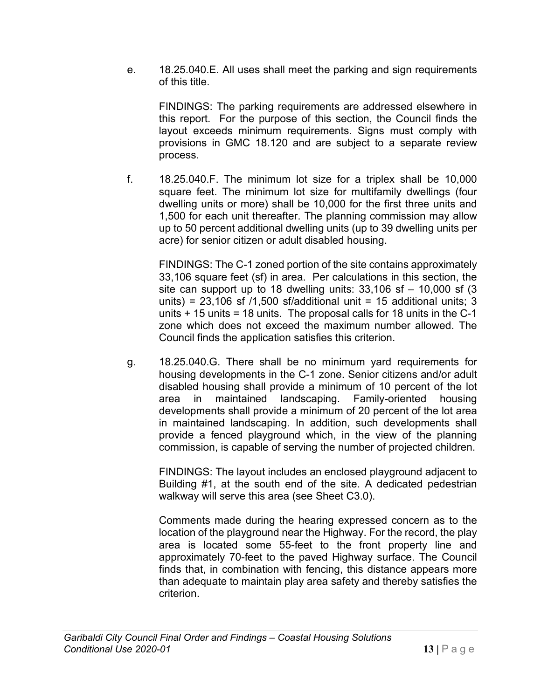e. 18.25.040.E. All uses shall meet the parking and sign requirements of this title.

FINDINGS: The parking requirements are addressed elsewhere in this report. For the purpose of this section, the Council finds the layout exceeds minimum requirements. Signs must comply with provisions in GMC 18.120 and are subject to a separate review process.

f. 18.25.040.F. The minimum lot size for a triplex shall be 10,000 square feet. The minimum lot size for multifamily dwellings (four dwelling units or more) shall be 10,000 for the first three units and 1,500 for each unit thereafter. The planning commission may allow up to 50 percent additional dwelling units (up to 39 dwelling units per acre) for senior citizen or adult disabled housing.

FINDINGS: The C-1 zoned portion of the site contains approximately 33,106 square feet (sf) in area. Per calculations in this section, the site can support up to 18 dwelling units:  $33,106$  sf  $- 10,000$  sf (3) units) = 23,106 sf  $/1,500$  sf/additional unit = 15 additional units; 3 units  $+15$  units = 18 units. The proposal calls for 18 units in the C-1 zone which does not exceed the maximum number allowed. The Council finds the application satisfies this criterion.

g. 18.25.040.G. There shall be no minimum yard requirements for housing developments in the C-1 zone. Senior citizens and/or adult disabled housing shall provide a minimum of 10 percent of the lot area in maintained landscaping. Family-oriented housing developments shall provide a minimum of 20 percent of the lot area in maintained landscaping. In addition, such developments shall provide a fenced playground which, in the view of the planning commission, is capable of serving the number of projected children.

FINDINGS: The layout includes an enclosed playground adjacent to Building #1, at the south end of the site. A dedicated pedestrian walkway will serve this area (see Sheet C3.0).

Comments made during the hearing expressed concern as to the location of the playground near the Highway. For the record, the play area is located some 55-feet to the front property line and approximately 70-feet to the paved Highway surface. The Council finds that, in combination with fencing, this distance appears more than adequate to maintain play area safety and thereby satisfies the criterion.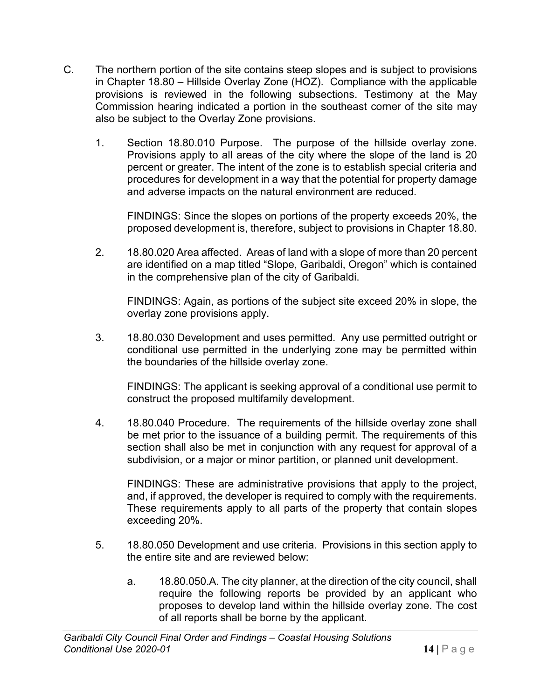- C. The northern portion of the site contains steep slopes and is subject to provisions in Chapter 18.80 – Hillside Overlay Zone (HOZ). Compliance with the applicable provisions is reviewed in the following subsections. Testimony at the May Commission hearing indicated a portion in the southeast corner of the site may also be subject to the Overlay Zone provisions.
	- 1. Section 18.80.010 Purpose. The purpose of the hillside overlay zone. Provisions apply to all areas of the city where the slope of the land is 20 percent or greater. The intent of the zone is to establish special criteria and procedures for development in a way that the potential for property damage and adverse impacts on the natural environment are reduced.

FINDINGS: Since the slopes on portions of the property exceeds 20%, the proposed development is, therefore, subject to provisions in Chapter 18.80.

2. 18.80.020 Area affected. Areas of land with a slope of more than 20 percent are identified on a map titled "Slope, Garibaldi, Oregon" which is contained in the comprehensive plan of the city of Garibaldi.

FINDINGS: Again, as portions of the subject site exceed 20% in slope, the overlay zone provisions apply.

3. 18.80.030 Development and uses permitted. Any use permitted outright or conditional use permitted in the underlying zone may be permitted within the boundaries of the hillside overlay zone.

FINDINGS: The applicant is seeking approval of a conditional use permit to construct the proposed multifamily development.

4. 18.80.040 Procedure. The requirements of the hillside overlay zone shall be met prior to the issuance of a building permit. The requirements of this section shall also be met in conjunction with any request for approval of a subdivision, or a major or minor partition, or planned unit development.

FINDINGS: These are administrative provisions that apply to the project, and, if approved, the developer is required to comply with the requirements. These requirements apply to all parts of the property that contain slopes exceeding 20%.

- 5. 18.80.050 Development and use criteria. Provisions in this section apply to the entire site and are reviewed below:
	- a. 18.80.050.A. The city planner, at the direction of the city council, shall require the following reports be provided by an applicant who proposes to develop land within the hillside overlay zone. The cost of all reports shall be borne by the applicant.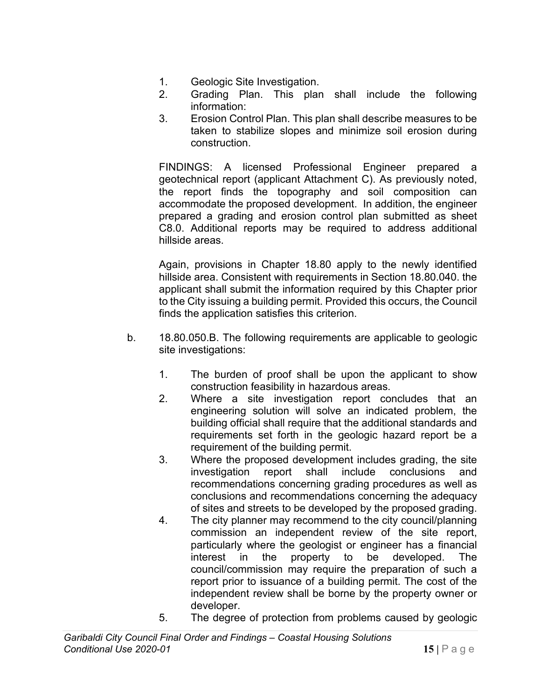- 1. Geologic Site Investigation.
- 2. Grading Plan. This plan shall include the following information:
- 3. Erosion Control Plan. This plan shall describe measures to be taken to stabilize slopes and minimize soil erosion during construction.

FINDINGS: A licensed Professional Engineer prepared a geotechnical report (applicant Attachment C). As previously noted, the report finds the topography and soil composition can accommodate the proposed development. In addition, the engineer prepared a grading and erosion control plan submitted as sheet C8.0. Additional reports may be required to address additional hillside areas.

Again, provisions in Chapter 18.80 apply to the newly identified hillside area. Consistent with requirements in Section 18.80.040. the applicant shall submit the information required by this Chapter prior to the City issuing a building permit. Provided this occurs, the Council finds the application satisfies this criterion.

- b. 18.80.050.B. The following requirements are applicable to geologic site investigations:
	- 1. The burden of proof shall be upon the applicant to show construction feasibility in hazardous areas.
	- 2. Where a site investigation report concludes that an engineering solution will solve an indicated problem, the building official shall require that the additional standards and requirements set forth in the geologic hazard report be a requirement of the building permit.
	- 3. Where the proposed development includes grading, the site investigation report shall include conclusions and recommendations concerning grading procedures as well as conclusions and recommendations concerning the adequacy of sites and streets to be developed by the proposed grading.
	- 4. The city planner may recommend to the city council/planning commission an independent review of the site report, particularly where the geologist or engineer has a financial interest in the property to be developed. The council/commission may require the preparation of such a report prior to issuance of a building permit. The cost of the independent review shall be borne by the property owner or developer.
	- 5. The degree of protection from problems caused by geologic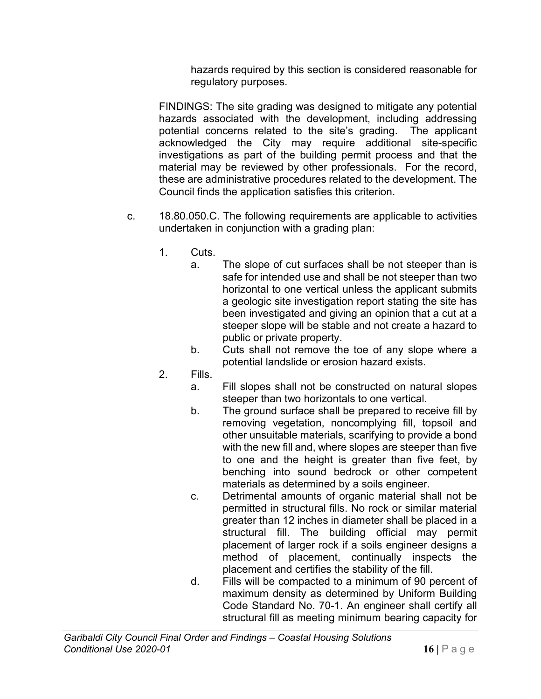hazards required by this section is considered reasonable for regulatory purposes.

FINDINGS: The site grading was designed to mitigate any potential hazards associated with the development, including addressing potential concerns related to the site's grading. The applicant acknowledged the City may require additional site-specific investigations as part of the building permit process and that the material may be reviewed by other professionals. For the record, these are administrative procedures related to the development. The Council finds the application satisfies this criterion.

- c. 18.80.050.C. The following requirements are applicable to activities undertaken in conjunction with a grading plan:
	- 1. Cuts.
		- a. The slope of cut surfaces shall be not steeper than is safe for intended use and shall be not steeper than two horizontal to one vertical unless the applicant submits a geologic site investigation report stating the site has been investigated and giving an opinion that a cut at a steeper slope will be stable and not create a hazard to public or private property.
		- b. Cuts shall not remove the toe of any slope where a potential landslide or erosion hazard exists.
	- 2. Fills.
		- a. Fill slopes shall not be constructed on natural slopes steeper than two horizontals to one vertical.
		- b. The ground surface shall be prepared to receive fill by removing vegetation, noncomplying fill, topsoil and other unsuitable materials, scarifying to provide a bond with the new fill and, where slopes are steeper than five to one and the height is greater than five feet, by benching into sound bedrock or other competent materials as determined by a soils engineer.
		- c. Detrimental amounts of organic material shall not be permitted in structural fills. No rock or similar material greater than 12 inches in diameter shall be placed in a structural fill. The building official may permit placement of larger rock if a soils engineer designs a method of placement, continually inspects the placement and certifies the stability of the fill.
		- d. Fills will be compacted to a minimum of 90 percent of maximum density as determined by Uniform Building Code Standard No. 70-1. An engineer shall certify all structural fill as meeting minimum bearing capacity for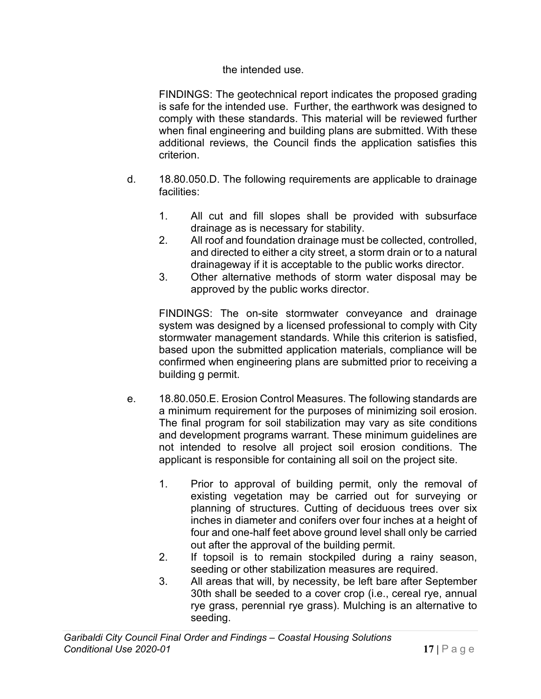#### the intended use.

FINDINGS: The geotechnical report indicates the proposed grading is safe for the intended use. Further, the earthwork was designed to comply with these standards. This material will be reviewed further when final engineering and building plans are submitted. With these additional reviews, the Council finds the application satisfies this criterion.

- d. 18.80.050.D. The following requirements are applicable to drainage facilities:
	- 1. All cut and fill slopes shall be provided with subsurface drainage as is necessary for stability.
	- 2. All roof and foundation drainage must be collected, controlled, and directed to either a city street, a storm drain or to a natural drainageway if it is acceptable to the public works director.
	- 3. Other alternative methods of storm water disposal may be approved by the public works director.

FINDINGS: The on-site stormwater conveyance and drainage system was designed by a licensed professional to comply with City stormwater management standards. While this criterion is satisfied, based upon the submitted application materials, compliance will be confirmed when engineering plans are submitted prior to receiving a building g permit.

- e. 18.80.050.E. Erosion Control Measures. The following standards are a minimum requirement for the purposes of minimizing soil erosion. The final program for soil stabilization may vary as site conditions and development programs warrant. These minimum guidelines are not intended to resolve all project soil erosion conditions. The applicant is responsible for containing all soil on the project site.
	- 1. Prior to approval of building permit, only the removal of existing vegetation may be carried out for surveying or planning of structures. Cutting of deciduous trees over six inches in diameter and conifers over four inches at a height of four and one-half feet above ground level shall only be carried out after the approval of the building permit.
	- 2. If topsoil is to remain stockpiled during a rainy season, seeding or other stabilization measures are required.
	- 3. All areas that will, by necessity, be left bare after September 30th shall be seeded to a cover crop (i.e., cereal rye, annual rye grass, perennial rye grass). Mulching is an alternative to seeding.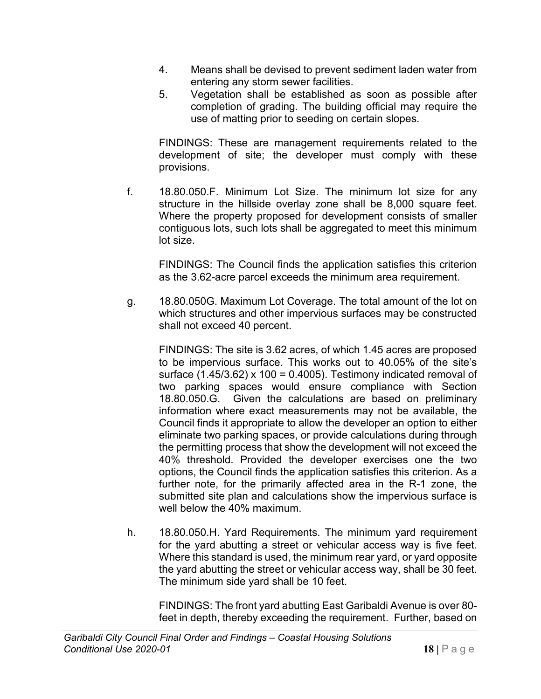- 4. Means shall be devised to prevent sediment laden water from entering any storm sewer facilities.
- 5. Vegetation shall be established as soon as possible after completion of grading. The building official may require the use of matting prior to seeding on certain slopes.

FINDINGS: These are management requirements related to the development of site; the developer must comply with these provisions.

f. 18.80.050.F. Minimum Lot Size. The minimum lot size for any structure in the hillside overlay zone shall be 8,000 square feet. Where the property proposed for development consists of smaller contiguous lots, such lots shall be aggregated to meet this minimum lot size.

FINDINGS: The Council finds the application satisfies this criterion as the 3.62-acre parcel exceeds the minimum area requirement.

g. 18.80.050G. Maximum Lot Coverage. The total amount of the lot on which structures and other impervious surfaces may be constructed shall not exceed 40 percent.

FINDINGS: The site is 3.62 acres, of which 1.45 acres are proposed to be impervious surface. This works out to 40.05% of the site's surface  $(1.45/3.62)$  x 100 = 0.4005). Testimony indicated removal of two parking spaces would ensure compliance with Section 18.80.050.G. Given the calculations are based on preliminary information where exact measurements may not be available, the Council finds it appropriate to allow the developer an option to either eliminate two parking spaces, or provide calculations during through the permitting process that show the development will not exceed the 40% threshold. Provided the developer exercises one the two options, the Council finds the application satisfies this criterion. As a further note, for the primarily affected area in the R-1 zone, the submitted site plan and calculations show the impervious surface is well below the 40% maximum.

h. 18.80.050.H. Yard Requirements. The minimum yard requirement for the yard abutting a street or vehicular access way is five feet. Where this standard is used, the minimum rear yard, or yard opposite the yard abutting the street or vehicular access way, shall be 30 feet. The minimum side yard shall be 10 feet.

FINDINGS: The front yard abutting East Garibaldi Avenue is over 80 feet in depth, thereby exceeding the requirement. Further, based on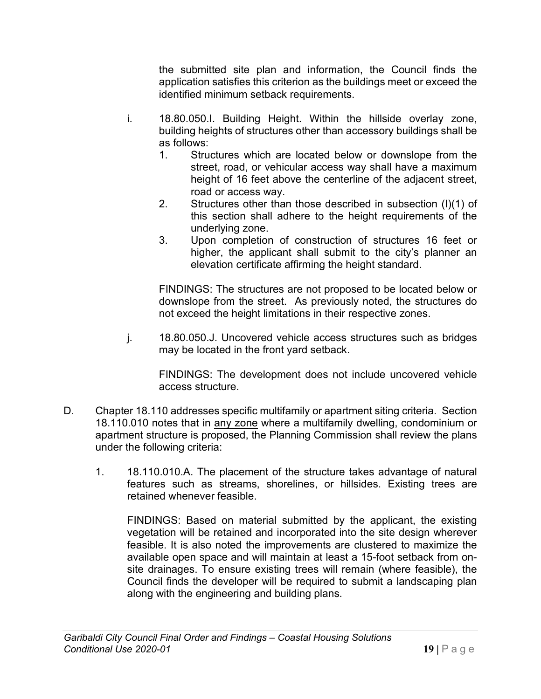the submitted site plan and information, the Council finds the application satisfies this criterion as the buildings meet or exceed the identified minimum setback requirements.

- i. 18.80.050.I. Building Height. Within the hillside overlay zone, building heights of structures other than accessory buildings shall be as follows:
	- 1. Structures which are located below or downslope from the street, road, or vehicular access way shall have a maximum height of 16 feet above the centerline of the adjacent street, road or access way.
	- 2. Structures other than those described in subsection (I)(1) of this section shall adhere to the height requirements of the underlying zone.
	- 3. Upon completion of construction of structures 16 feet or higher, the applicant shall submit to the city's planner an elevation certificate affirming the height standard.

FINDINGS: The structures are not proposed to be located below or downslope from the street. As previously noted, the structures do not exceed the height limitations in their respective zones.

j. 18.80.050.J. Uncovered vehicle access structures such as bridges may be located in the front yard setback.

FINDINGS: The development does not include uncovered vehicle access structure.

- D. Chapter 18.110 addresses specific multifamily or apartment siting criteria. Section 18.110.010 notes that in any zone where a multifamily dwelling, condominium or apartment structure is proposed, the Planning Commission shall review the plans under the following criteria:
	- 1. 18.110.010.A. The placement of the structure takes advantage of natural features such as streams, shorelines, or hillsides. Existing trees are retained whenever feasible.

FINDINGS: Based on material submitted by the applicant, the existing vegetation will be retained and incorporated into the site design wherever feasible. It is also noted the improvements are clustered to maximize the available open space and will maintain at least a 15-foot setback from onsite drainages. To ensure existing trees will remain (where feasible), the Council finds the developer will be required to submit a landscaping plan along with the engineering and building plans.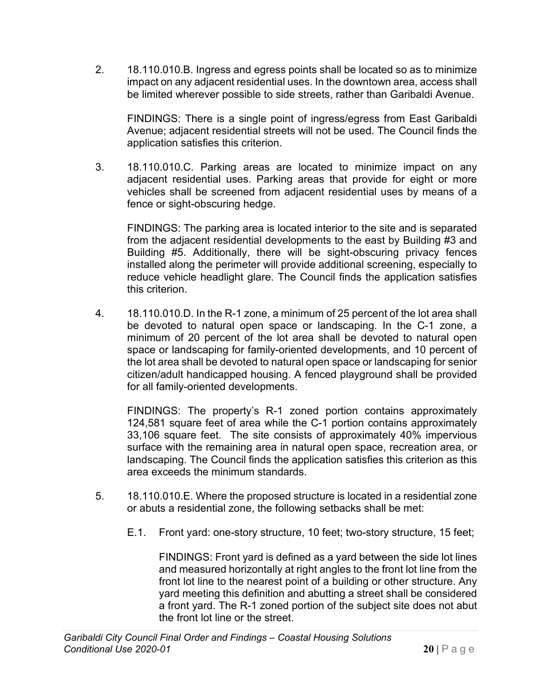2. 18.110.010.B. Ingress and egress points shall be located so as to minimize impact on any adjacent residential uses. In the downtown area, access shall be limited wherever possible to side streets, rather than Garibaldi Avenue.

FINDINGS: There is a single point of ingress/egress from East Garibaldi Avenue; adjacent residential streets will not be used. The Council finds the application satisfies this criterion.

3. 18.110.010.C. Parking areas are located to minimize impact on any adjacent residential uses. Parking areas that provide for eight or more vehicles shall be screened from adjacent residential uses by means of a fence or sight-obscuring hedge.

FINDINGS: The parking area is located interior to the site and is separated from the adjacent residential developments to the east by Building #3 and Building #5. Additionally, there will be sight-obscuring privacy fences installed along the perimeter will provide additional screening, especially to reduce vehicle headlight glare. The Council finds the application satisfies this criterion.

4. 18.110.010.D. In the R-1 zone, a minimum of 25 percent of the lot area shall be devoted to natural open space or landscaping. In the C-1 zone, a minimum of 20 percent of the lot area shall be devoted to natural open space or landscaping for family-oriented developments, and 10 percent of the lot area shall be devoted to natural open space or landscaping for senior citizen/adult handicapped housing. A fenced playground shall be provided for all family-oriented developments.

FINDINGS: The property's R-1 zoned portion contains approximately 124,581 square feet of area while the C-1 portion contains approximately 33,106 square feet. The site consists of approximately 40% impervious surface with the remaining area in natural open space, recreation area, or landscaping. The Council finds the application satisfies this criterion as this area exceeds the minimum standards.

- 5. 18.110.010.E. Where the proposed structure is located in a residential zone or abuts a residential zone, the following setbacks shall be met:
	- E.1. Front yard: one-story structure, 10 feet; two-story structure, 15 feet;

FINDINGS: Front yard is defined as a yard between the side lot lines and measured horizontally at right angles to the front lot line from the front lot line to the nearest point of a building or other structure. Any yard meeting this definition and abutting a street shall be considered a front yard. The R-1 zoned portion of the subject site does not abut the front lot line or the street.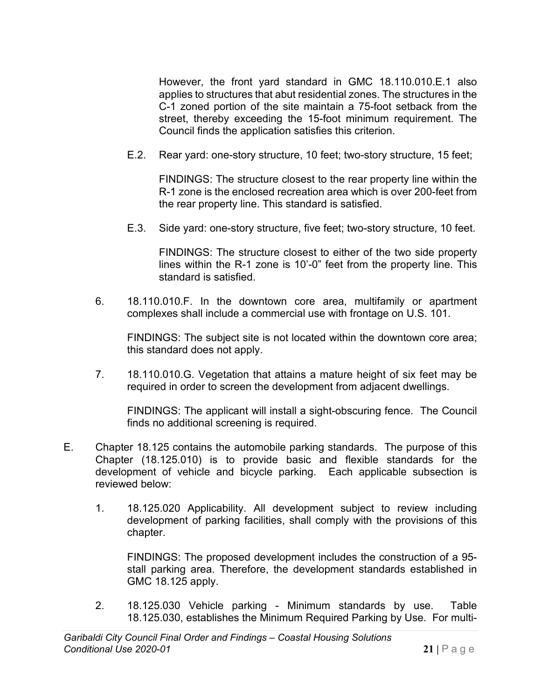However, the front yard standard in GMC 18.110.010.E.1 also applies to structures that abut residential zones. The structures in the C-1 zoned portion of the site maintain a 75-foot setback from the street, thereby exceeding the 15-foot minimum requirement. The Council finds the application satisfies this criterion.

E.2. Rear yard: one-story structure, 10 feet; two-story structure, 15 feet;

FINDINGS: The structure closest to the rear property line within the R-1 zone is the enclosed recreation area which is over 200-feet from the rear property line. This standard is satisfied.

E.3. Side yard: one-story structure, five feet; two-story structure, 10 feet.

FINDINGS: The structure closest to either of the two side property lines within the R-1 zone is 10'-0" feet from the property line. This standard is satisfied.

6. 18.110.010.F. In the downtown core area, multifamily or apartment complexes shall include a commercial use with frontage on U.S. 101.

FINDINGS: The subject site is not located within the downtown core area; this standard does not apply.

7. 18.110.010.G. Vegetation that attains a mature height of six feet may be required in order to screen the development from adjacent dwellings.

FINDINGS: The applicant will install a sight-obscuring fence. The Council finds no additional screening is required.

- E. Chapter 18.125 contains the automobile parking standards. The purpose of this Chapter (18.125.010) is to provide basic and flexible standards for the development of vehicle and bicycle parking. Each applicable subsection is reviewed below:
	- 1. 18.125.020 Applicability. All development subject to review including development of parking facilities, shall comply with the provisions of this chapter.

FINDINGS: The proposed development includes the construction of a 95 stall parking area. Therefore, the development standards established in GMC 18.125 apply.

2. 18.125.030 Vehicle parking - Minimum standards by use. Table 18.125.030, establishes the Minimum Required Parking by Use. For multi-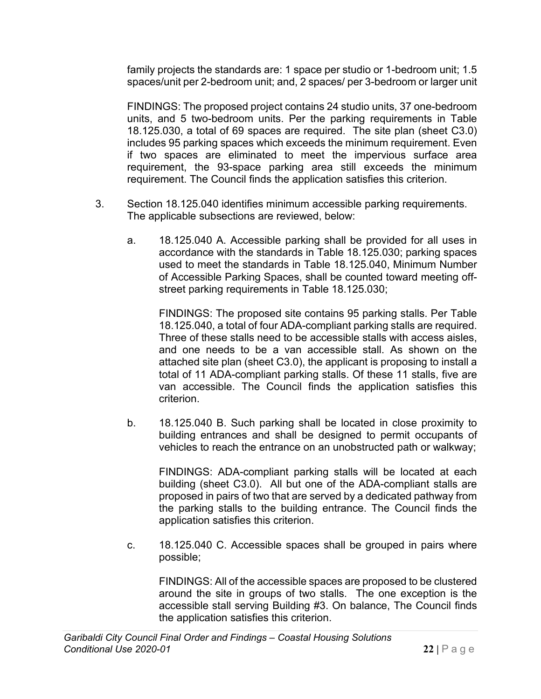family projects the standards are: 1 space per studio or 1-bedroom unit; 1.5 spaces/unit per 2-bedroom unit; and, 2 spaces/ per 3-bedroom or larger unit

FINDINGS: The proposed project contains 24 studio units, 37 one-bedroom units, and 5 two-bedroom units. Per the parking requirements in Table 18.125.030, a total of 69 spaces are required. The site plan (sheet C3.0) includes 95 parking spaces which exceeds the minimum requirement. Even if two spaces are eliminated to meet the impervious surface area requirement, the 93-space parking area still exceeds the minimum requirement. The Council finds the application satisfies this criterion.

- 3. Section 18.125.040 identifies minimum accessible parking requirements. The applicable subsections are reviewed, below:
	- a. 18.125.040 A. Accessible parking shall be provided for all uses in accordance with the standards in Table 18.125.030; parking spaces used to meet the standards in Table 18.125.040, Minimum Number of Accessible Parking Spaces, shall be counted toward meeting offstreet parking requirements in Table 18.125.030;

FINDINGS: The proposed site contains 95 parking stalls. Per Table 18.125.040, a total of four ADA-compliant parking stalls are required. Three of these stalls need to be accessible stalls with access aisles, and one needs to be a van accessible stall. As shown on the attached site plan (sheet C3.0), the applicant is proposing to install a total of 11 ADA-compliant parking stalls. Of these 11 stalls, five are van accessible. The Council finds the application satisfies this criterion.

b. 18.125.040 B. Such parking shall be located in close proximity to building entrances and shall be designed to permit occupants of vehicles to reach the entrance on an unobstructed path or walkway;

FINDINGS: ADA-compliant parking stalls will be located at each building (sheet C3.0). All but one of the ADA-compliant stalls are proposed in pairs of two that are served by a dedicated pathway from the parking stalls to the building entrance. The Council finds the application satisfies this criterion.

c. 18.125.040 C. Accessible spaces shall be grouped in pairs where possible;

FINDINGS: All of the accessible spaces are proposed to be clustered around the site in groups of two stalls. The one exception is the accessible stall serving Building #3. On balance, The Council finds the application satisfies this criterion.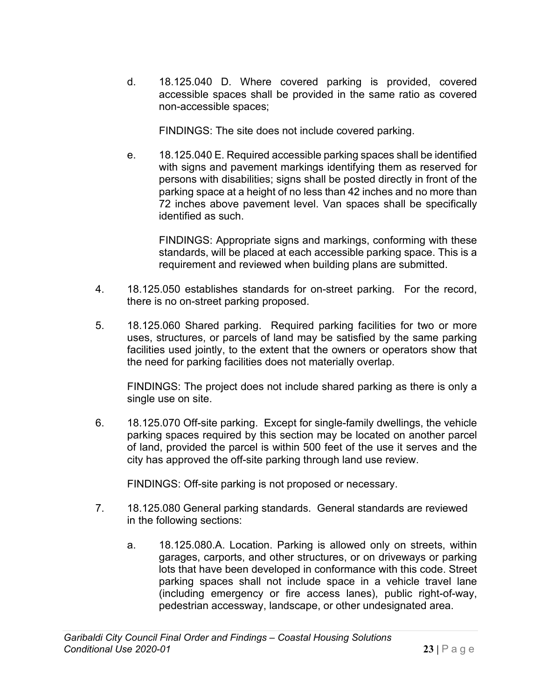d. 18.125.040 D. Where covered parking is provided, covered accessible spaces shall be provided in the same ratio as covered non-accessible spaces;

FINDINGS: The site does not include covered parking.

e. 18.125.040 E. Required accessible parking spaces shall be identified with signs and pavement markings identifying them as reserved for persons with disabilities; signs shall be posted directly in front of the parking space at a height of no less than 42 inches and no more than 72 inches above pavement level. Van spaces shall be specifically identified as such.

FINDINGS: Appropriate signs and markings, conforming with these standards, will be placed at each accessible parking space. This is a requirement and reviewed when building plans are submitted.

- 4. 18.125.050 establishes standards for on-street parking. For the record, there is no on-street parking proposed.
- 5. 18.125.060 Shared parking. Required parking facilities for two or more uses, structures, or parcels of land may be satisfied by the same parking facilities used jointly, to the extent that the owners or operators show that the need for parking facilities does not materially overlap.

FINDINGS: The project does not include shared parking as there is only a single use on site.

6. 18.125.070 Off-site parking. Except for single-family dwellings, the vehicle parking spaces required by this section may be located on another parcel of land, provided the parcel is within 500 feet of the use it serves and the city has approved the off-site parking through land use review.

FINDINGS: Off-site parking is not proposed or necessary.

- 7. 18.125.080 General parking standards. General standards are reviewed in the following sections:
	- a. 18.125.080.A. Location. Parking is allowed only on streets, within garages, carports, and other structures, or on driveways or parking lots that have been developed in conformance with this code. Street parking spaces shall not include space in a vehicle travel lane (including emergency or fire access lanes), public right-of-way, pedestrian accessway, landscape, or other undesignated area.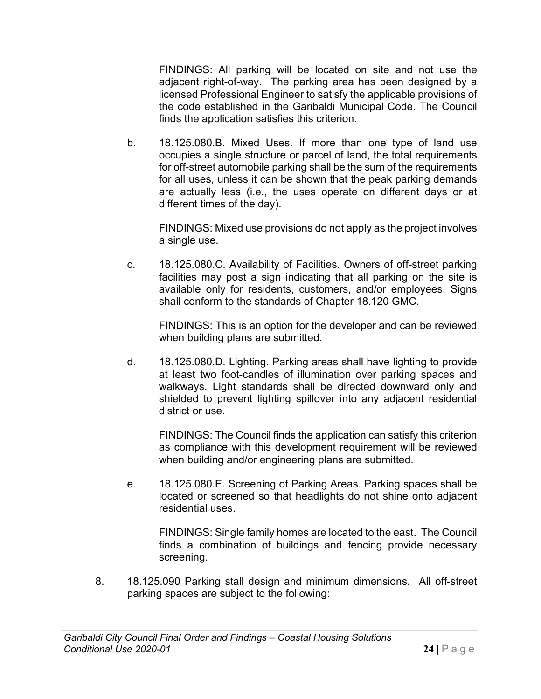FINDINGS: All parking will be located on site and not use the adjacent right-of-way. The parking area has been designed by a licensed Professional Engineer to satisfy the applicable provisions of the code established in the Garibaldi Municipal Code. The Council finds the application satisfies this criterion.

b. 18.125.080.B. Mixed Uses. If more than one type of land use occupies a single structure or parcel of land, the total requirements for off-street automobile parking shall be the sum of the requirements for all uses, unless it can be shown that the peak parking demands are actually less (i.e., the uses operate on different days or at different times of the day).

FINDINGS: Mixed use provisions do not apply as the project involves a single use.

c. 18.125.080.C. Availability of Facilities. Owners of off-street parking facilities may post a sign indicating that all parking on the site is available only for residents, customers, and/or employees. Signs shall conform to the standards of Chapter 18.120 GMC.

FINDINGS: This is an option for the developer and can be reviewed when building plans are submitted.

d. 18.125.080.D. Lighting. Parking areas shall have lighting to provide at least two foot-candles of illumination over parking spaces and walkways. Light standards shall be directed downward only and shielded to prevent lighting spillover into any adjacent residential district or use.

FINDINGS: The Council finds the application can satisfy this criterion as compliance with this development requirement will be reviewed when building and/or engineering plans are submitted.

e. 18.125.080.E. Screening of Parking Areas. Parking spaces shall be located or screened so that headlights do not shine onto adjacent residential uses.

FINDINGS: Single family homes are located to the east. The Council finds a combination of buildings and fencing provide necessary screening.

8. 18.125.090 Parking stall design and minimum dimensions. All off-street parking spaces are subject to the following: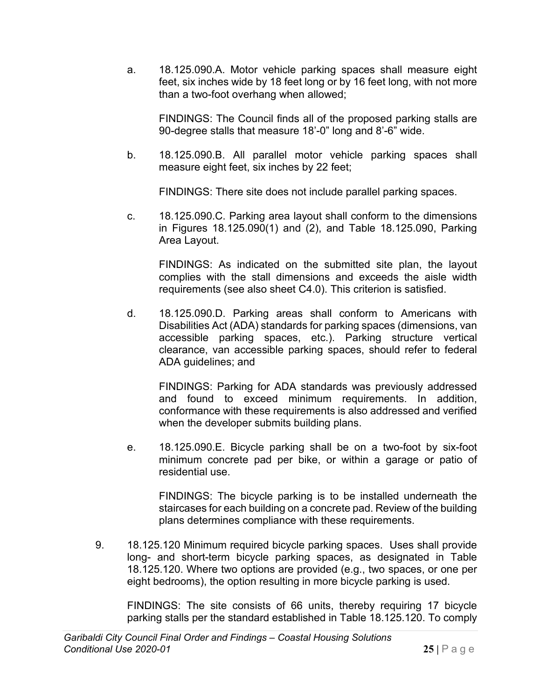a. 18.125.090.A. Motor vehicle parking spaces shall measure eight feet, six inches wide by 18 feet long or by 16 feet long, with not more than a two-foot overhang when allowed;

FINDINGS: The Council finds all of the proposed parking stalls are 90-degree stalls that measure 18'-0" long and 8'-6" wide.

b. 18.125.090.B. All parallel motor vehicle parking spaces shall measure eight feet, six inches by 22 feet;

FINDINGS: There site does not include parallel parking spaces.

c. 18.125.090.C. Parking area layout shall conform to the dimensions in Figures 18.125.090(1) and (2), and Table 18.125.090, Parking Area Layout.

FINDINGS: As indicated on the submitted site plan, the layout complies with the stall dimensions and exceeds the aisle width requirements (see also sheet C4.0). This criterion is satisfied.

d. 18.125.090.D. Parking areas shall conform to Americans with Disabilities Act (ADA) standards for parking spaces (dimensions, van accessible parking spaces, etc.). Parking structure vertical clearance, van accessible parking spaces, should refer to federal ADA guidelines; and

FINDINGS: Parking for ADA standards was previously addressed and found to exceed minimum requirements. In addition, conformance with these requirements is also addressed and verified when the developer submits building plans.

e. 18.125.090.E. Bicycle parking shall be on a two-foot by six-foot minimum concrete pad per bike, or within a garage or patio of residential use.

FINDINGS: The bicycle parking is to be installed underneath the staircases for each building on a concrete pad. Review of the building plans determines compliance with these requirements.

9. 18.125.120 Minimum required bicycle parking spaces. Uses shall provide long- and short-term bicycle parking spaces, as designated in Table 18.125.120. Where two options are provided (e.g., two spaces, or one per eight bedrooms), the option resulting in more bicycle parking is used.

FINDINGS: The site consists of 66 units, thereby requiring 17 bicycle parking stalls per the standard established in Table 18.125.120. To comply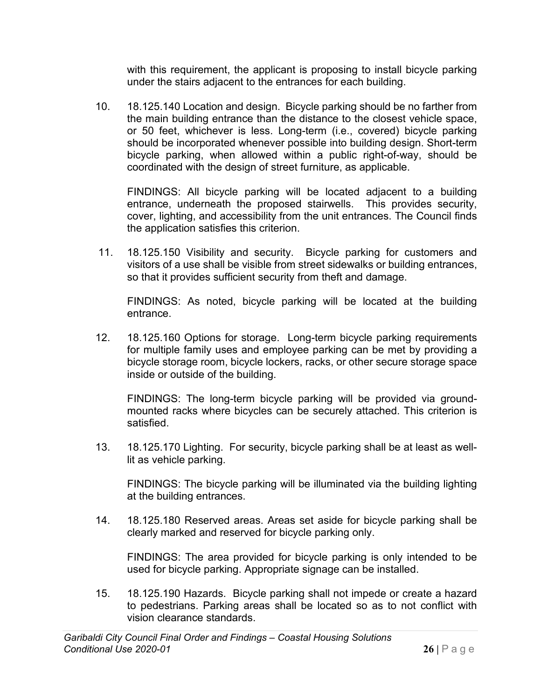with this requirement, the applicant is proposing to install bicycle parking under the stairs adjacent to the entrances for each building.

10. 18.125.140 Location and design. Bicycle parking should be no farther from the main building entrance than the distance to the closest vehicle space, or 50 feet, whichever is less. Long-term (i.e., covered) bicycle parking should be incorporated whenever possible into building design. Short-term bicycle parking, when allowed within a public right-of-way, should be coordinated with the design of street furniture, as applicable.

FINDINGS: All bicycle parking will be located adjacent to a building entrance, underneath the proposed stairwells. This provides security, cover, lighting, and accessibility from the unit entrances. The Council finds the application satisfies this criterion.

11. 18.125.150 Visibility and security. Bicycle parking for customers and visitors of a use shall be visible from street sidewalks or building entrances, so that it provides sufficient security from theft and damage.

FINDINGS: As noted, bicycle parking will be located at the building entrance.

12. 18.125.160 Options for storage. Long-term bicycle parking requirements for multiple family uses and employee parking can be met by providing a bicycle storage room, bicycle lockers, racks, or other secure storage space inside or outside of the building.

FINDINGS: The long-term bicycle parking will be provided via groundmounted racks where bicycles can be securely attached. This criterion is satisfied.

13. 18.125.170 Lighting. For security, bicycle parking shall be at least as welllit as vehicle parking.

FINDINGS: The bicycle parking will be illuminated via the building lighting at the building entrances.

14. 18.125.180 Reserved areas. Areas set aside for bicycle parking shall be clearly marked and reserved for bicycle parking only.

FINDINGS: The area provided for bicycle parking is only intended to be used for bicycle parking. Appropriate signage can be installed.

15. 18.125.190 Hazards. Bicycle parking shall not impede or create a hazard to pedestrians. Parking areas shall be located so as to not conflict with vision clearance standards.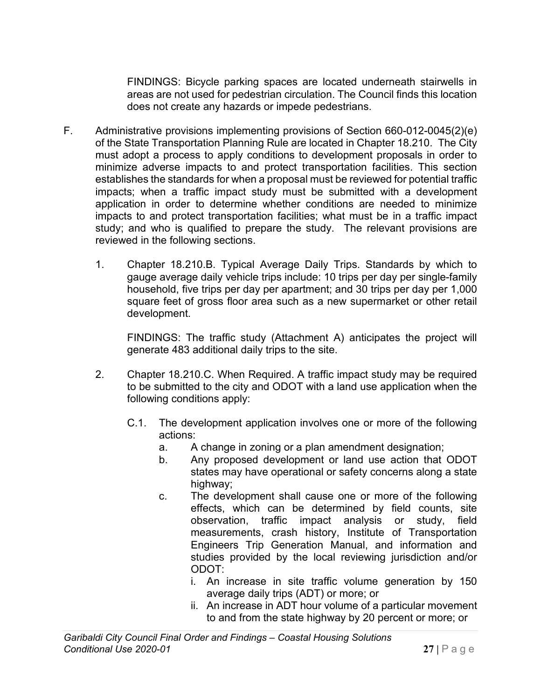FINDINGS: Bicycle parking spaces are located underneath stairwells in areas are not used for pedestrian circulation. The Council finds this location does not create any hazards or impede pedestrians.

- F. Administrative provisions implementing provisions of Section 660-012-0045(2)(e) of the State Transportation Planning Rule are located in Chapter 18.210. The City must adopt a process to apply conditions to development proposals in order to minimize adverse impacts to and protect transportation facilities. This section establishes the standards for when a proposal must be reviewed for potential traffic impacts; when a traffic impact study must be submitted with a development application in order to determine whether conditions are needed to minimize impacts to and protect transportation facilities; what must be in a traffic impact study; and who is qualified to prepare the study. The relevant provisions are reviewed in the following sections.
	- 1. Chapter 18.210.B. Typical Average Daily Trips. Standards by which to gauge average daily vehicle trips include: 10 trips per day per single-family household, five trips per day per apartment; and 30 trips per day per 1,000 square feet of gross floor area such as a new supermarket or other retail development.

FINDINGS: The traffic study (Attachment A) anticipates the project will generate 483 additional daily trips to the site.

- 2. Chapter 18.210.C. When Required. A traffic impact study may be required to be submitted to the city and ODOT with a land use application when the following conditions apply:
	- C.1. The development application involves one or more of the following actions:
		- a. A change in zoning or a plan amendment designation;
		- b. Any proposed development or land use action that ODOT states may have operational or safety concerns along a state highway;
		- c. The development shall cause one or more of the following effects, which can be determined by field counts, site observation, traffic impact analysis or study, field measurements, crash history, Institute of Transportation Engineers Trip Generation Manual, and information and studies provided by the local reviewing jurisdiction and/or ODOT:
			- i. An increase in site traffic volume generation by 150 average daily trips (ADT) or more; or
			- ii. An increase in ADT hour volume of a particular movement to and from the state highway by 20 percent or more; or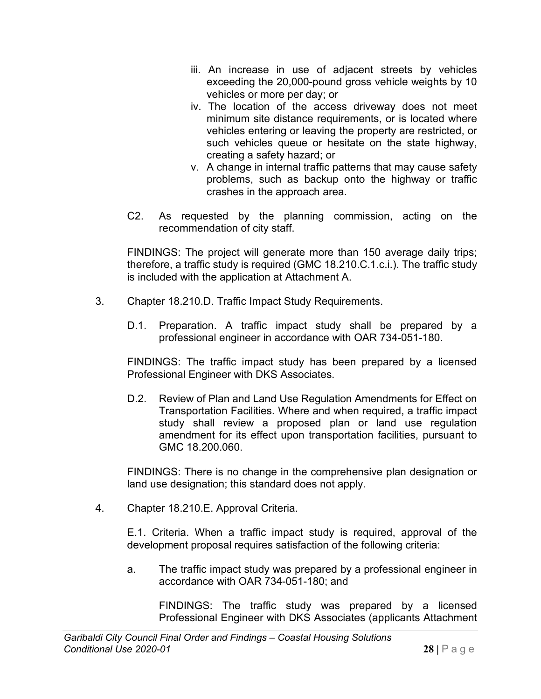- iii. An increase in use of adjacent streets by vehicles exceeding the 20,000-pound gross vehicle weights by 10 vehicles or more per day; or
- iv. The location of the access driveway does not meet minimum site distance requirements, or is located where vehicles entering or leaving the property are restricted, or such vehicles queue or hesitate on the state highway, creating a safety hazard; or
- v. A change in internal traffic patterns that may cause safety problems, such as backup onto the highway or traffic crashes in the approach area.
- C2. As requested by the planning commission, acting on the recommendation of city staff.

FINDINGS: The project will generate more than 150 average daily trips; therefore, a traffic study is required (GMC 18.210.C.1.c.i.). The traffic study is included with the application at Attachment A.

- 3. Chapter 18.210.D. Traffic Impact Study Requirements.
	- D.1. Preparation. A traffic impact study shall be prepared by a professional engineer in accordance with OAR 734-051-180.

FINDINGS: The traffic impact study has been prepared by a licensed Professional Engineer with DKS Associates.

D.2. Review of Plan and Land Use Regulation Amendments for Effect on Transportation Facilities. Where and when required, a traffic impact study shall review a proposed plan or land use regulation amendment for its effect upon transportation facilities, pursuant to GMC 18.200.060.

FINDINGS: There is no change in the comprehensive plan designation or land use designation; this standard does not apply.

4. Chapter 18.210.E. Approval Criteria.

E.1. Criteria. When a traffic impact study is required, approval of the development proposal requires satisfaction of the following criteria:

a. The traffic impact study was prepared by a professional engineer in accordance with OAR 734-051-180; and

FINDINGS: The traffic study was prepared by a licensed Professional Engineer with DKS Associates (applicants Attachment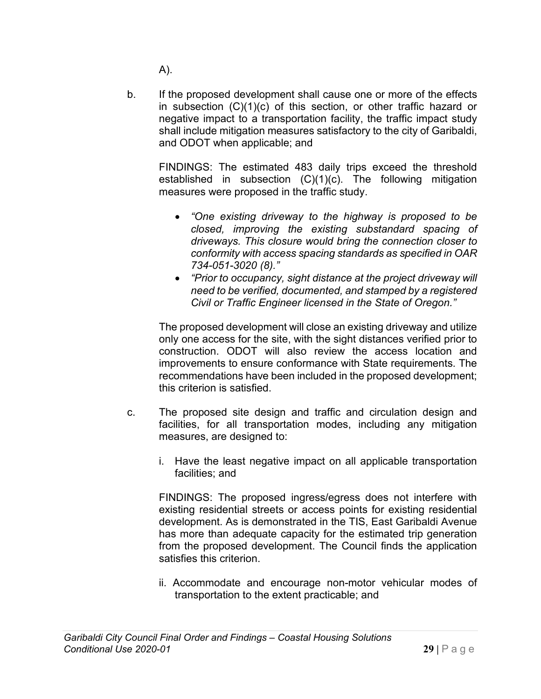A).

b. If the proposed development shall cause one or more of the effects in subsection (C)(1)(c) of this section, or other traffic hazard or negative impact to a transportation facility, the traffic impact study shall include mitigation measures satisfactory to the city of Garibaldi, and ODOT when applicable; and

FINDINGS: The estimated 483 daily trips exceed the threshold established in subsection (C)(1)(c). The following mitigation measures were proposed in the traffic study.

- *"One existing driveway to the highway is proposed to be closed, improving the existing substandard spacing of driveways. This closure would bring the connection closer to conformity with access spacing standards as specified in OAR 734-051-3020 (8)."*
- *"Prior to occupancy, sight distance at the project driveway will need to be verified, documented, and stamped by a registered Civil or Traffic Engineer licensed in the State of Oregon."*

The proposed development will close an existing driveway and utilize only one access for the site, with the sight distances verified prior to construction. ODOT will also review the access location and improvements to ensure conformance with State requirements. The recommendations have been included in the proposed development; this criterion is satisfied.

- c. The proposed site design and traffic and circulation design and facilities, for all transportation modes, including any mitigation measures, are designed to:
	- i. Have the least negative impact on all applicable transportation facilities; and

FINDINGS: The proposed ingress/egress does not interfere with existing residential streets or access points for existing residential development. As is demonstrated in the TIS, East Garibaldi Avenue has more than adequate capacity for the estimated trip generation from the proposed development. The Council finds the application satisfies this criterion.

ii. Accommodate and encourage non-motor vehicular modes of transportation to the extent practicable; and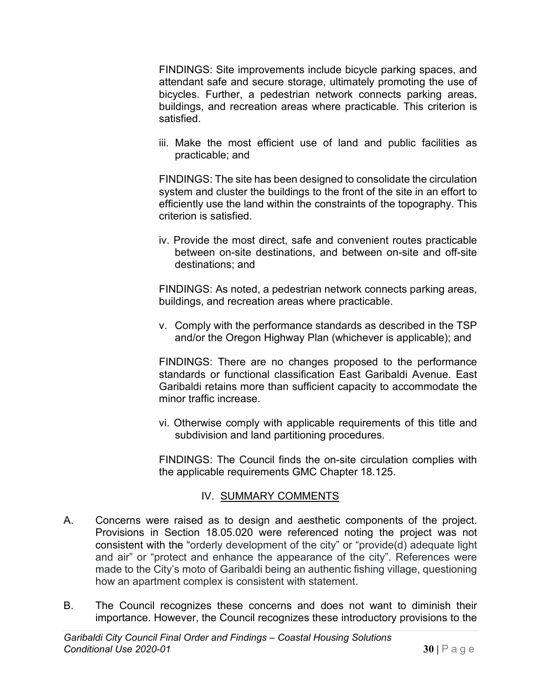FINDINGS: Site improvements include bicycle parking spaces, and attendant safe and secure storage, ultimately promoting the use of bicycles. Further, a pedestrian network connects parking areas, buildings, and recreation areas where practicable. This criterion is satisfied.

iii. Make the most efficient use of land and public facilities as practicable; and

FINDINGS: The site has been designed to consolidate the circulation system and cluster the buildings to the front of the site in an effort to efficiently use the land within the constraints of the topography. This criterion is satisfied.

iv. Provide the most direct, safe and convenient routes practicable between on-site destinations, and between on-site and off-site destinations; and

FINDINGS: As noted, a pedestrian network connects parking areas, buildings, and recreation areas where practicable.

v. Comply with the performance standards as described in the TSP and/or the Oregon Highway Plan (whichever is applicable); and

FINDINGS: There are no changes proposed to the performance standards or functional classification East Garibaldi Avenue. East Garibaldi retains more than sufficient capacity to accommodate the minor traffic increase.

vi. Otherwise comply with applicable requirements of this title and subdivision and land partitioning procedures.

FINDINGS: The Council finds the on-site circulation complies with the applicable requirements GMC Chapter 18.125.

#### IV. SUMMARY COMMENTS

- A. Concerns were raised as to design and aesthetic components of the project. Provisions in Section 18.05.020 were referenced noting the project was not consistent with the "orderly development of the city" or "provide(d) adequate light and air" or "protect and enhance the appearance of the city". References were made to the City's moto of Garibaldi being an authentic fishing village, questioning how an apartment complex is consistent with statement.
- B. The Council recognizes these concerns and does not want to diminish their importance. However, the Council recognizes these introductory provisions to the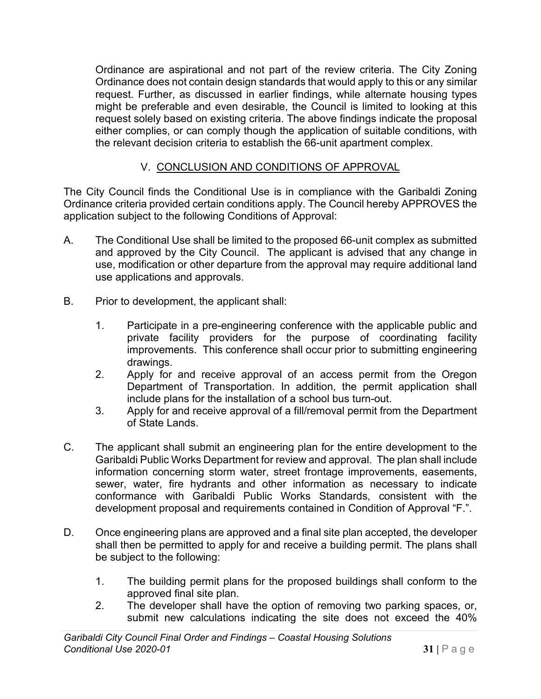Ordinance are aspirational and not part of the review criteria. The City Zoning Ordinance does not contain design standards that would apply to this or any similar request. Further, as discussed in earlier findings, while alternate housing types might be preferable and even desirable, the Council is limited to looking at this request solely based on existing criteria. The above findings indicate the proposal either complies, or can comply though the application of suitable conditions, with the relevant decision criteria to establish the 66-unit apartment complex.

# V. CONCLUSION AND CONDITIONS OF APPROVAL

The City Council finds the Conditional Use is in compliance with the Garibaldi Zoning Ordinance criteria provided certain conditions apply. The Council hereby APPROVES the application subject to the following Conditions of Approval:

- A. The Conditional Use shall be limited to the proposed 66-unit complex as submitted and approved by the City Council. The applicant is advised that any change in use, modification or other departure from the approval may require additional land use applications and approvals.
- B. Prior to development, the applicant shall:
	- 1. Participate in a pre-engineering conference with the applicable public and private facility providers for the purpose of coordinating facility improvements. This conference shall occur prior to submitting engineering drawings.
	- 2. Apply for and receive approval of an access permit from the Oregon Department of Transportation. In addition, the permit application shall include plans for the installation of a school bus turn-out.
	- 3. Apply for and receive approval of a fill/removal permit from the Department of State Lands.
- C. The applicant shall submit an engineering plan for the entire development to the Garibaldi Public Works Department for review and approval. The plan shall include information concerning storm water, street frontage improvements, easements, sewer, water, fire hydrants and other information as necessary to indicate conformance with Garibaldi Public Works Standards, consistent with the development proposal and requirements contained in Condition of Approval "F.".
- D. Once engineering plans are approved and a final site plan accepted, the developer shall then be permitted to apply for and receive a building permit. The plans shall be subject to the following:
	- 1. The building permit plans for the proposed buildings shall conform to the approved final site plan.
	- 2. The developer shall have the option of removing two parking spaces, or, submit new calculations indicating the site does not exceed the 40%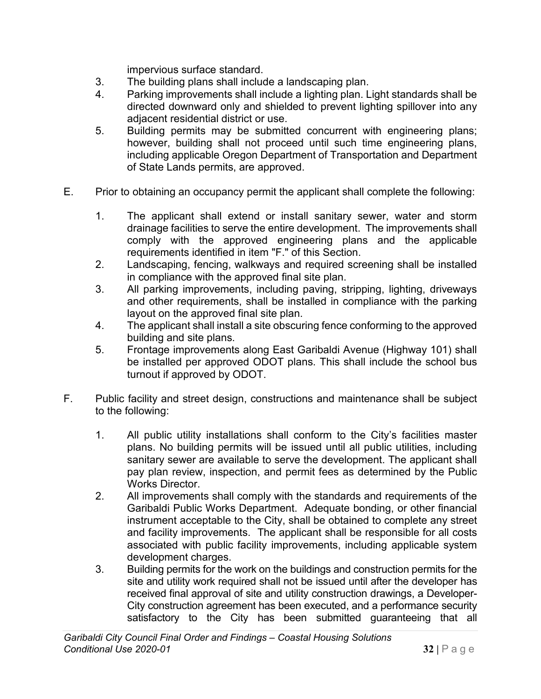impervious surface standard.

- 3. The building plans shall include a landscaping plan.
- 4. Parking improvements shall include a lighting plan. Light standards shall be directed downward only and shielded to prevent lighting spillover into any adjacent residential district or use.
- 5. Building permits may be submitted concurrent with engineering plans; however, building shall not proceed until such time engineering plans, including applicable Oregon Department of Transportation and Department of State Lands permits, are approved.
- E. Prior to obtaining an occupancy permit the applicant shall complete the following:
	- 1. The applicant shall extend or install sanitary sewer, water and storm drainage facilities to serve the entire development. The improvements shall comply with the approved engineering plans and the applicable requirements identified in item "F." of this Section.
	- 2. Landscaping, fencing, walkways and required screening shall be installed in compliance with the approved final site plan.
	- 3. All parking improvements, including paving, stripping, lighting, driveways and other requirements, shall be installed in compliance with the parking layout on the approved final site plan.
	- 4. The applicant shall install a site obscuring fence conforming to the approved building and site plans.
	- 5. Frontage improvements along East Garibaldi Avenue (Highway 101) shall be installed per approved ODOT plans. This shall include the school bus turnout if approved by ODOT.
- F. Public facility and street design, constructions and maintenance shall be subject to the following:
	- 1. All public utility installations shall conform to the City's facilities master plans. No building permits will be issued until all public utilities, including sanitary sewer are available to serve the development. The applicant shall pay plan review, inspection, and permit fees as determined by the Public Works Director.
	- 2. All improvements shall comply with the standards and requirements of the Garibaldi Public Works Department. Adequate bonding, or other financial instrument acceptable to the City, shall be obtained to complete any street and facility improvements. The applicant shall be responsible for all costs associated with public facility improvements, including applicable system development charges.
	- 3. Building permits for the work on the buildings and construction permits for the site and utility work required shall not be issued until after the developer has received final approval of site and utility construction drawings, a Developer-City construction agreement has been executed, and a performance security satisfactory to the City has been submitted guaranteeing that all